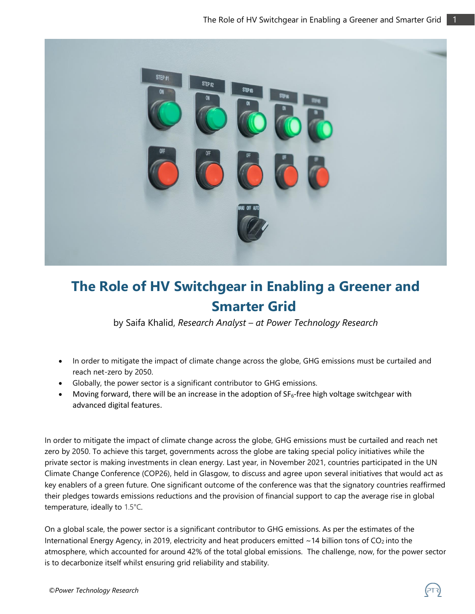

## **The Role of HV Switchgear in Enabling a Greener and Smarter Grid**

by Saifa Khalid, *Research Analyst – at Power Technology Research*

- In order to mitigate the impact of climate change across the globe, GHG emissions must be curtailed and reach net-zero by 2050.
- Globally, the power sector is a significant contributor to GHG emissions.
- Moving forward, there will be an increase in the adoption of  $SF_6$ -free high voltage switchgear with advanced digital features.

In order to mitigate the impact of climate change across the globe, GHG emissions must be curtailed and reach net zero by 2050. To achieve this target, governments across the globe are taking special policy initiatives while the private sector is making investments in clean energy. Last year, in November 2021, countries participated in the UN Climate Change Conference (COP26), held in Glasgow, to discuss and agree upon several initiatives that would act as key enablers of a green future. One significant outcome of the conference was that the signatory countries reaffirmed their pledges towards emissions reductions and the provision of financial support to cap the average rise in global temperature, ideally to 1.5°C.

On a global scale, the power sector is a significant contributor to GHG emissions. As per the estimates of the International Energy Agency, in 2019, electricity and heat producers emitted  $\sim$  14 billion tons of CO<sub>2</sub> into the atmosphere, which accounted for around 42% of the total global emissions. The challenge, now, for the power sector is to decarbonize itself whilst ensuring grid reliability and stability.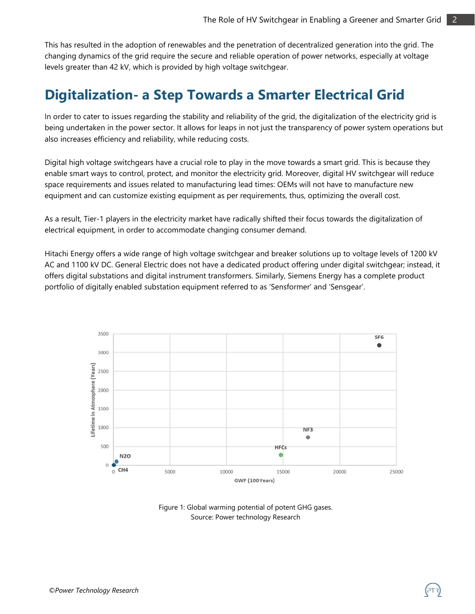This has resulted in the adoption of renewables and the penetration of decentralized generation into the grid. The changing dynamics of the grid require the secure and reliable operation of power networks, especially at voltage levels greater than 42 kV, which is provided by high voltage switchgear.

### **Digitalization- a Step Towards a Smarter Electrical Grid**

In order to cater to issues regarding the stability and reliability of the grid, the digitalization of the electricity grid is being undertaken in the power sector. It allows for leaps in not just the transparency of power system operations but also increases efficiency and reliability, while reducing costs.

Digital high voltage switchgears have a crucial role to play in the move towards a smart grid. This is because they enable smart ways to control, protect, and monitor the electricity grid. Moreover, digital HV switchgear will reduce space requirements and issues related to manufacturing lead times: OEMs will not have to manufacture new equipment and can customize existing equipment as per requirements, thus, optimizing the overall cost.

As a result, Tier-1 players in the electricity market have radically shifted their focus towards the digitalization of electrical equipment, in order to accommodate changing consumer demand.

Hitachi Energy offers a wide range of high voltage switchgear and breaker solutions up to voltage levels of 1200 kV AC and 1100 kV DC. General Electric does not have a dedicated product offering under digital switchgear; instead, it offers digital substations and digital instrument transformers. Similarly, Siemens Energy has a complete product portfolio of digitally enabled substation equipment referred to as 'Sensformer' and 'Sensgear'.



Figure 1: Global warming potential of potent GHG gases. Source: Power technology Research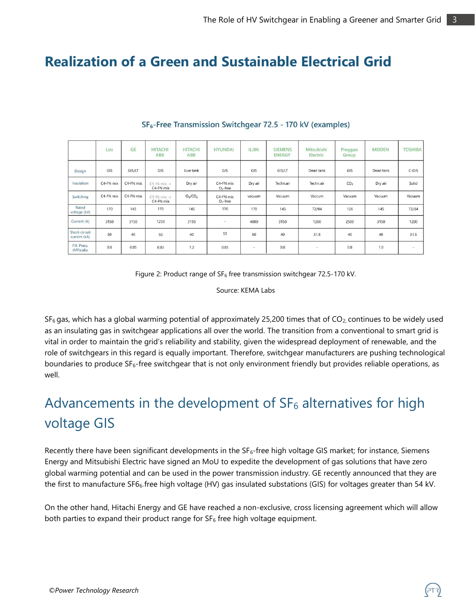### **Realization of a Green and Sustainable Electrical Grid**

|                               | Lsis      | <b>GE</b> | <b>HITACHI</b><br>ABB                  | <b>HITACHI</b><br>ABB           | <b>HYUNDAI</b>          | <b>ILJIN</b> | <b>SIEMENS</b><br><b>ENERGY</b> | Mitsubishi<br>Electric   | Pinggao<br>Group | <b>MEIDEN</b> | <b>TOSHIBA</b>           |
|-------------------------------|-----------|-----------|----------------------------------------|---------------------------------|-------------------------|--------------|---------------------------------|--------------------------|------------------|---------------|--------------------------|
| Design                        | GIS       | GIS/LT    | GIS                                    | Live tank                       | GIS                     | GIS          | GIS/LT                          | Dead tank                | GIS              | Dead tank     | $C$ -GIS                 |
| Insulation                    | C4-FN mix | C4-FN mix | $C5-FK$ mix $\rightarrow$<br>C4-FN mix | Dry air                         | C4-FN mix<br>$O2$ -free | Dry air      | Techn.air                       | Techn.air                | CO <sub>2</sub>  | Dry air       | Solid                    |
| Switching                     | C4-FN mix | C4-FN mix | $C5$ -FK mix -><br>C4-FN mix           | O <sub>2</sub> /CO <sub>2</sub> | C4-FN mix<br>$O2$ -free | vacuum       | Vacuum                          | Vaccum                   | Vacuum           | Vacuum        | Vacuum                   |
| Rated<br>voltage (kV)         | 170       | 145       | 170                                    | 145                             | 170                     | 170          | 145                             | 72/84                    | 126              | 145           | 72/84                    |
| Current (A)                   | 3150      | 3150      | 1250                                   | 3150                            | ٠                       | 4000         | 3150                            | 1200                     | 2500             | 3150          | 1200                     |
| Short-circuit<br>current (kA) | 50        | 40        | 50                                     | 40                              | 50                      | 50           | 40                              | 31.5                     | 40               | 40            | 31.5                     |
| Fill, Press.<br>(MPa)abs      | 0.8       | 0.85      | 0.83                                   | 1.2                             | 0.85                    | $\sim$       | 0.8                             | $\overline{\phantom{a}}$ | 0.8              | 1.0           | $\overline{\phantom{a}}$ |

#### SF<sub>6</sub>-Free Transmission Switchgear 72.5 - 170 kV (examples)

Figure 2: Product range of  $SF_6$  free transmission switchgear 72.5-170 kV.

Source: KEMA Labs

 $SF<sub>6</sub>$  gas, which has a global warming potential of approximately 25,200 times that of CO<sub>2</sub>, continues to be widely used as an insulating gas in switchgear applications all over the world. The transition from a conventional to smart grid is vital in order to maintain the grid's reliability and stability, given the widespread deployment of renewable, and the role of switchgears in this regard is equally important. Therefore, switchgear manufacturers are pushing technological boundaries to produce SF<sub>6</sub>-free switchgear that is not only environment friendly but provides reliable operations, as well.

# Advancements in the development of  $SF<sub>6</sub>$  alternatives for high voltage GIS

Recently there have been significant developments in the  $SF_6$ -free high voltage GIS market; for instance, Siemens Energy and Mitsubishi Electric have signed an MoU to expedite the development of gas solutions that have zero global warming potential and can be used in the power transmission industry. GE recently announced that they are the first to manufacture SF66-free high voltage (HV) gas insulated substations (GIS) for voltages greater than 54 kV.

On the other hand, Hitachi Energy and GE have reached a non-exclusive, cross licensing agreement which will allow both parties to expand their product range for  $SF<sub>6</sub>$  free high voltage equipment.